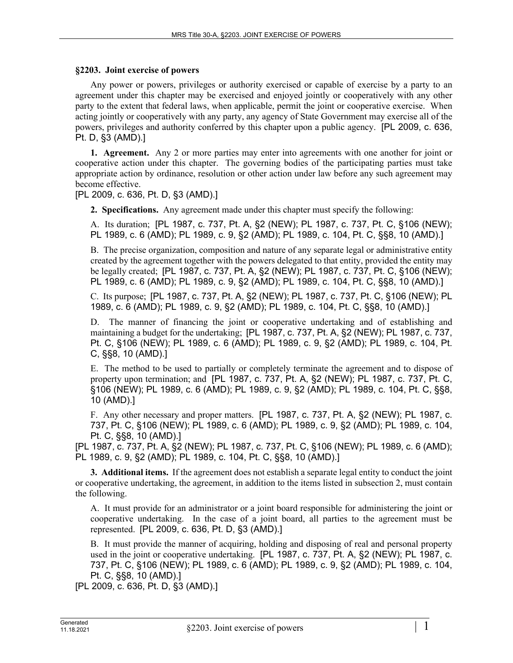## **§2203. Joint exercise of powers**

Any power or powers, privileges or authority exercised or capable of exercise by a party to an agreement under this chapter may be exercised and enjoyed jointly or cooperatively with any other party to the extent that federal laws, when applicable, permit the joint or cooperative exercise. When acting jointly or cooperatively with any party, any agency of State Government may exercise all of the powers, privileges and authority conferred by this chapter upon a public agency. [PL 2009, c. 636, Pt. D, §3 (AMD).]

**1. Agreement.** Any 2 or more parties may enter into agreements with one another for joint or cooperative action under this chapter. The governing bodies of the participating parties must take appropriate action by ordinance, resolution or other action under law before any such agreement may become effective.

[PL 2009, c. 636, Pt. D, §3 (AMD).]

**2. Specifications.** Any agreement made under this chapter must specify the following:

A. Its duration; [PL 1987, c. 737, Pt. A, §2 (NEW); PL 1987, c. 737, Pt. C, §106 (NEW); PL 1989, c. 6 (AMD); PL 1989, c. 9, §2 (AMD); PL 1989, c. 104, Pt. C, §§8, 10 (AMD).]

B. The precise organization, composition and nature of any separate legal or administrative entity created by the agreement together with the powers delegated to that entity, provided the entity may be legally created; [PL 1987, c. 737, Pt. A, §2 (NEW); PL 1987, c. 737, Pt. C, §106 (NEW); PL 1989, c. 6 (AMD); PL 1989, c. 9, §2 (AMD); PL 1989, c. 104, Pt. C, §§8, 10 (AMD).]

C. Its purpose; [PL 1987, c. 737, Pt. A, §2 (NEW); PL 1987, c. 737, Pt. C, §106 (NEW); PL 1989, c. 6 (AMD); PL 1989, c. 9, §2 (AMD); PL 1989, c. 104, Pt. C, §§8, 10 (AMD).]

D. The manner of financing the joint or cooperative undertaking and of establishing and maintaining a budget for the undertaking; [PL 1987, c. 737, Pt. A, §2 (NEW); PL 1987, c. 737, Pt. C, §106 (NEW); PL 1989, c. 6 (AMD); PL 1989, c. 9, §2 (AMD); PL 1989, c. 104, Pt. C, §§8, 10 (AMD).]

E. The method to be used to partially or completely terminate the agreement and to dispose of property upon termination; and [PL 1987, c. 737, Pt. A, §2 (NEW); PL 1987, c. 737, Pt. C, §106 (NEW); PL 1989, c. 6 (AMD); PL 1989, c. 9, §2 (AMD); PL 1989, c. 104, Pt. C, §§8, 10 (AMD).]

F. Any other necessary and proper matters. [PL 1987, c. 737, Pt. A, §2 (NEW); PL 1987, c. 737, Pt. C, §106 (NEW); PL 1989, c. 6 (AMD); PL 1989, c. 9, §2 (AMD); PL 1989, c. 104, Pt. C, §§8, 10 (AMD).]

[PL 1987, c. 737, Pt. A, §2 (NEW); PL 1987, c. 737, Pt. C, §106 (NEW); PL 1989, c. 6 (AMD); PL 1989, c. 9, §2 (AMD); PL 1989, c. 104, Pt. C, §§8, 10 (AMD).]

**3. Additional items.** If the agreement does not establish a separate legal entity to conduct the joint or cooperative undertaking, the agreement, in addition to the items listed in subsection 2, must contain the following.

A. It must provide for an administrator or a joint board responsible for administering the joint or cooperative undertaking. In the case of a joint board, all parties to the agreement must be represented. [PL 2009, c. 636, Pt. D, §3 (AMD).]

B. It must provide the manner of acquiring, holding and disposing of real and personal property used in the joint or cooperative undertaking. [PL 1987, c. 737, Pt. A, §2 (NEW); PL 1987, c. 737, Pt. C, §106 (NEW); PL 1989, c. 6 (AMD); PL 1989, c. 9, §2 (AMD); PL 1989, c. 104, Pt. C, §§8, 10 (AMD).]

[PL 2009, c. 636, Pt. D, §3 (AMD).]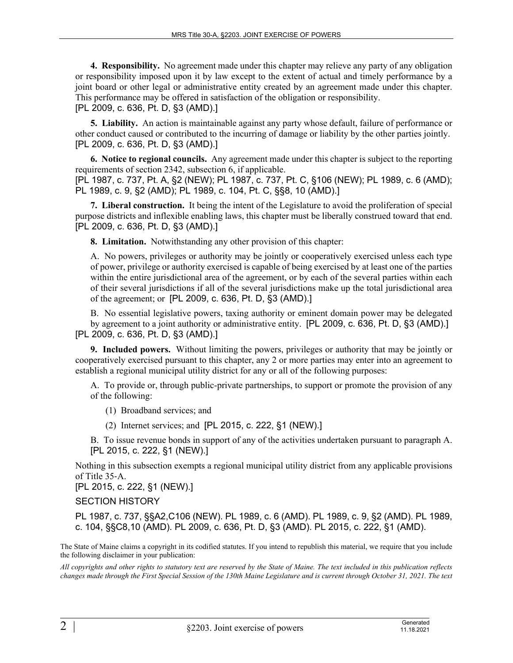**4. Responsibility.** No agreement made under this chapter may relieve any party of any obligation or responsibility imposed upon it by law except to the extent of actual and timely performance by a joint board or other legal or administrative entity created by an agreement made under this chapter. This performance may be offered in satisfaction of the obligation or responsibility. [PL 2009, c. 636, Pt. D, §3 (AMD).]

**5. Liability.** An action is maintainable against any party whose default, failure of performance or other conduct caused or contributed to the incurring of damage or liability by the other parties jointly. [PL 2009, c. 636, Pt. D, §3 (AMD).]

**6. Notice to regional councils.** Any agreement made under this chapter is subject to the reporting requirements of section 2342, subsection 6, if applicable.

[PL 1987, c. 737, Pt. A, §2 (NEW); PL 1987, c. 737, Pt. C, §106 (NEW); PL 1989, c. 6 (AMD); PL 1989, c. 9, §2 (AMD); PL 1989, c. 104, Pt. C, §§8, 10 (AMD).]

**7. Liberal construction.** It being the intent of the Legislature to avoid the proliferation of special purpose districts and inflexible enabling laws, this chapter must be liberally construed toward that end. [PL 2009, c. 636, Pt. D, §3 (AMD).]

**8. Limitation.** Notwithstanding any other provision of this chapter:

A. No powers, privileges or authority may be jointly or cooperatively exercised unless each type of power, privilege or authority exercised is capable of being exercised by at least one of the parties within the entire jurisdictional area of the agreement, or by each of the several parties within each of their several jurisdictions if all of the several jurisdictions make up the total jurisdictional area of the agreement; or [PL 2009, c. 636, Pt. D, §3 (AMD).]

B. No essential legislative powers, taxing authority or eminent domain power may be delegated by agreement to a joint authority or administrative entity. [PL 2009, c. 636, Pt. D, §3 (AMD).] [PL 2009, c. 636, Pt. D, §3 (AMD).]

**9. Included powers.** Without limiting the powers, privileges or authority that may be jointly or cooperatively exercised pursuant to this chapter, any 2 or more parties may enter into an agreement to establish a regional municipal utility district for any or all of the following purposes:

A. To provide or, through public-private partnerships, to support or promote the provision of any of the following:

(1) Broadband services; and

- (2) Internet services; and [PL 2015, c. 222, §1 (NEW).]
- B. To issue revenue bonds in support of any of the activities undertaken pursuant to paragraph A. [PL 2015, c. 222, §1 (NEW).]

Nothing in this subsection exempts a regional municipal utility district from any applicable provisions of Title 35‑A.

[PL 2015, c. 222, §1 (NEW).]

SECTION HISTORY

PL 1987, c. 737, §§A2,C106 (NEW). PL 1989, c. 6 (AMD). PL 1989, c. 9, §2 (AMD). PL 1989, c. 104, §§C8,10 (AMD). PL 2009, c. 636, Pt. D, §3 (AMD). PL 2015, c. 222, §1 (AMD).

The State of Maine claims a copyright in its codified statutes. If you intend to republish this material, we require that you include the following disclaimer in your publication:

*All copyrights and other rights to statutory text are reserved by the State of Maine. The text included in this publication reflects changes made through the First Special Session of the 130th Maine Legislature and is current through October 31, 2021. The text*